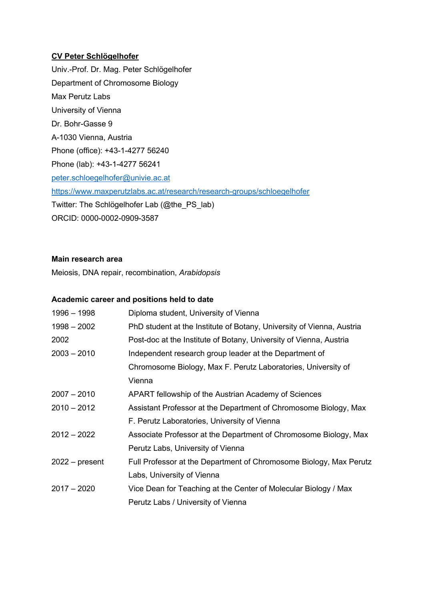## **CV Peter Schlögelhofer**

Univ.-Prof. Dr. Mag. Peter Schlögelhofer Department of Chromosome Biology Max Perutz Labs University of Vienna Dr. Bohr-Gasse 9 A-1030 Vienna, Austria Phone (office): +43-1-4277 56240 Phone (lab): +43-1-4277 56241 peter.schloegelhofer@univie.ac.at https://www.maxperutzlabs.ac.at/research/research-groups/schloegelhofer Twitter: The Schlögelhofer Lab (@the\_PS\_lab) ORCID: 0000-0002-0909-3587

# **Main research area**

Meiosis, DNA repair, recombination, *Arabidopsis*

## **Academic career and positions held to date**

| 1996 - 1998      | Diploma student, University of Vienna                                 |
|------------------|-----------------------------------------------------------------------|
| $1998 - 2002$    | PhD student at the Institute of Botany, University of Vienna, Austria |
| 2002             | Post-doc at the Institute of Botany, University of Vienna, Austria    |
| $2003 - 2010$    | Independent research group leader at the Department of                |
|                  | Chromosome Biology, Max F. Perutz Laboratories, University of         |
|                  | Vienna                                                                |
| $2007 - 2010$    | APART fellowship of the Austrian Academy of Sciences                  |
| $2010 - 2012$    | Assistant Professor at the Department of Chromosome Biology, Max      |
|                  | F. Perutz Laboratories, University of Vienna                          |
| $2012 - 2022$    | Associate Professor at the Department of Chromosome Biology, Max      |
|                  | Perutz Labs, University of Vienna                                     |
| $2022 - present$ | Full Professor at the Department of Chromosome Biology, Max Perutz    |
|                  | Labs, University of Vienna                                            |
| $2017 - 2020$    | Vice Dean for Teaching at the Center of Molecular Biology / Max       |
|                  | Perutz Labs / University of Vienna                                    |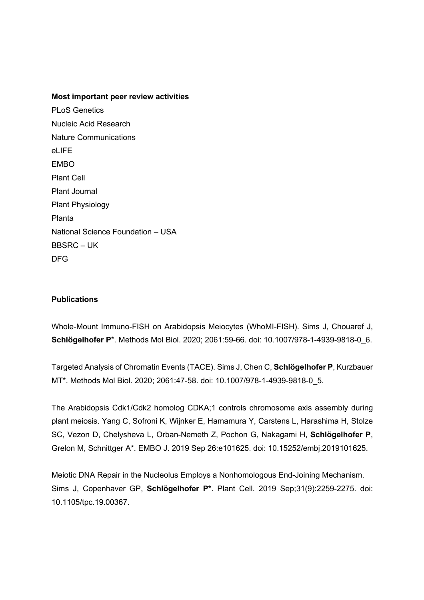### **Most important peer review activities**

PLoS Genetics Nucleic Acid Research Nature Communications el IFF EMBO Plant Cell Plant Journal Plant Physiology Planta National Science Foundation – USA BBSRC – UK DFG

### **Publications**

Whole-Mount Immuno-FISH on Arabidopsis Meiocytes (WhoMI-FISH). Sims J, Chouaref J, **Schlögelhofer P**\*. Methods Mol Biol. 2020; 2061:59-66. doi: 10.1007/978-1-4939-9818-0\_6.

Targeted Analysis of Chromatin Events (TACE). Sims J, Chen C, **Schlögelhofer P**, Kurzbauer MT\*. Methods Mol Biol. 2020; 2061:47-58. doi: 10.1007/978-1-4939-9818-0\_5.

The Arabidopsis Cdk1/Cdk2 homolog CDKA;1 controls chromosome axis assembly during plant meiosis. Yang C, Sofroni K, Wijnker E, Hamamura Y, Carstens L, Harashima H, Stolze SC, Vezon D, Chelysheva L, Orban-Nemeth Z, Pochon G, Nakagami H, **Schlögelhofer P**, Grelon M, Schnittger A\*. EMBO J. 2019 Sep 26:e101625. doi: 10.15252/embj.2019101625.

Meiotic DNA Repair in the Nucleolus Employs a Nonhomologous End-Joining Mechanism. Sims J, Copenhaver GP, **Schlögelhofer P\***. Plant Cell. 2019 Sep;31(9):2259-2275. doi: 10.1105/tpc.19.00367.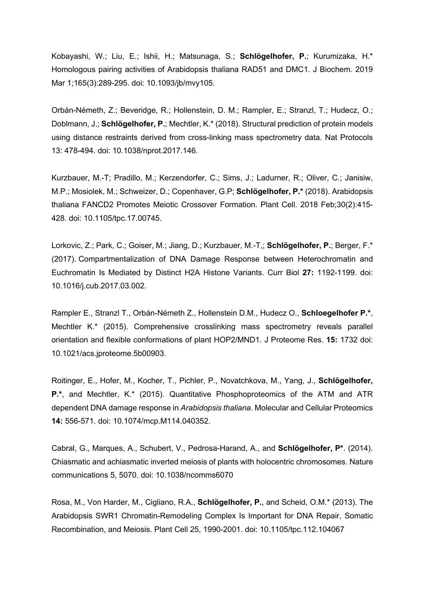Kobayashi, W.; Liu, E.; Ishii, H.; Matsunaga, S.; **Schlögelhofer, P.**; Kurumizaka, H.\* Homologous pairing activities of Arabidopsis thaliana RAD51 and DMC1. J Biochem. 2019 Mar 1;165(3):289-295. doi: 10.1093/jb/mvy105.

Orbán-Németh, Z.; Beveridge, R.; Hollenstein, D. M.; Rampler, E.; Stranzl, T.; Hudecz, O.; Doblmann, J.; **Schlögelhofer, P.**; Mechtler, K.\* (2018). Structural prediction of protein models using distance restraints derived from cross-linking mass spectrometry data. Nat Protocols 13: 478-494. doi: 10.1038/nprot.2017.146.

Kurzbauer, M.-T; Pradillo, M.; Kerzendorfer, C.; Sims, J.; Ladurner, R.; Oliver, C.; Janisiw, M.P.; Mosiolek, M.; Schweizer, D.; Copenhaver, G.P; **Schlögelhofer, P.\*** (2018). Arabidopsis thaliana FANCD2 Promotes Meiotic Crossover Formation. Plant Cell. 2018 Feb;30(2):415- 428. doi: 10.1105/tpc.17.00745.

Lorkovic, Z.; Park, C.; Goiser, M.; Jiang, D.; Kurzbauer, M.-T,; **Schlögelhofer, P.**; Berger, F.\* (2017). Compartmentalization of DNA Damage Response between Heterochromatin and Euchromatin Is Mediated by Distinct H2A Histone Variants. Curr Biol **27:** 1192-1199. doi: 10.1016/j.cub.2017.03.002.

Rampler E., Stranzl T., Orbán-Németh Z., Hollenstein D.M., Hudecz O., **Schloegelhofer P.\***, Mechtler K.\* (2015). Comprehensive crosslinking mass spectrometry reveals parallel orientation and flexible conformations of plant HOP2/MND1. J Proteome Res. **15:** 1732 doi: 10.1021/acs.jproteome.5b00903.

Roitinger, E., Hofer, M., Kocher, T., Pichler, P., Novatchkova, M., Yang, J., **Schlögelhofer, P.\***, and Mechtler, K.\* (2015). Quantitative Phosphoproteomics of the ATM and ATR dependent DNA damage response in *Arabidopsis thaliana*. Molecular and Cellular Proteomics **14:** 556-571. doi: 10.1074/mcp.M114.040352.

Cabral, G., Marques, A., Schubert, V., Pedrosa-Harand, A., and **Schlögelhofer, P\***. (2014). Chiasmatic and achiasmatic inverted meiosis of plants with holocentric chromosomes. Nature communications 5, 5070. doi: 10.1038/ncomms6070

Rosa, M., Von Harder, M., Cigliano, R.A., **Schlögelhofer, P.**, and Scheid, O.M.\* (2013). The Arabidopsis SWR1 Chromatin-Remodeling Complex Is Important for DNA Repair, Somatic Recombination, and Meiosis. Plant Cell 25, 1990-2001. doi: 10.1105/tpc.112.104067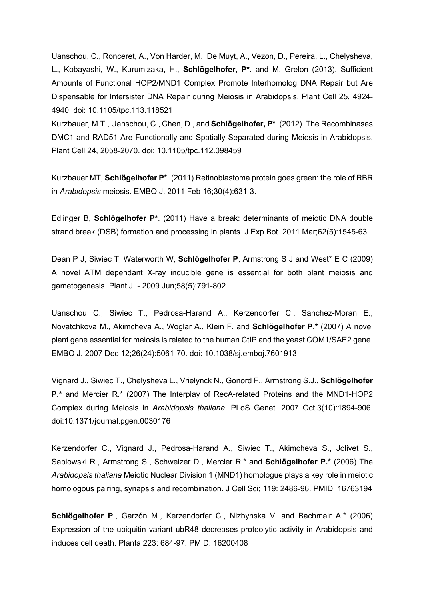Uanschou, C., Ronceret, A., Von Harder, M., De Muyt, A., Vezon, D., Pereira, L., Chelysheva, L., Kobayashi, W., Kurumizaka, H., **Schlögelhofer, P\***. and M. Grelon (2013). Sufficient Amounts of Functional HOP2/MND1 Complex Promote Interhomolog DNA Repair but Are Dispensable for Intersister DNA Repair during Meiosis in Arabidopsis. Plant Cell 25, 4924- 4940. doi: 10.1105/tpc.113.118521

Kurzbauer, M.T., Uanschou, C., Chen, D., and **Schlögelhofer, P\***. (2012). The Recombinases DMC1 and RAD51 Are Functionally and Spatially Separated during Meiosis in Arabidopsis. Plant Cell 24, 2058-2070. doi: 10.1105/tpc.112.098459

Kurzbauer MT, **Schlögelhofer P\***. (2011) Retinoblastoma protein goes green: the role of RBR in *Arabidopsis* meiosis. EMBO J. 2011 Feb 16;30(4):631-3.

Edlinger B, **Schlögelhofer P\***. (2011) Have a break: determinants of meiotic DNA double strand break (DSB) formation and processing in plants. J Exp Bot. 2011 Mar;62(5):1545-63.

Dean P J, Siwiec T, Waterworth W, **Schlögelhofer P**, Armstrong S J and West\* E C (2009) A novel ATM dependant X-ray inducible gene is essential for both plant meiosis and gametogenesis. Plant J. - 2009 Jun;58(5):791-802

Uanschou C., Siwiec T., Pedrosa-Harand A., Kerzendorfer C., Sanchez-Moran E., Novatchkova M., Akimcheva A., Woglar A., Klein F. and **Schlögelhofer P.\*** (2007) A novel plant gene essential for meiosis is related to the human CtIP and the yeast COM1/SAE2 gene. EMBO J. 2007 Dec 12;26(24):5061-70. doi: 10.1038/sj.emboj.7601913

Vignard J., Siwiec T., Chelysheva L., Vrielynck N., Gonord F., Armstrong S.J., **Schlögelhofer P.\*** and Mercier R.\* (2007) The Interplay of RecA-related Proteins and the MND1-HOP2 Complex during Meiosis in *Arabidopsis thaliana*. PLoS Genet. 2007 Oct;3(10):1894-906. doi:10.1371/journal.pgen.0030176

Kerzendorfer C., Vignard J., Pedrosa-Harand A., Siwiec T., Akimcheva S., Jolivet S., Sablowski R., Armstrong S., Schweizer D., Mercier R.\* and **Schlögelhofer P.\*** (2006) The *Arabidopsis thaliana* Meiotic Nuclear Division 1 (MND1) homologue plays a key role in meiotic homologous pairing, synapsis and recombination. J Cell Sci; 119: 2486-96. PMID: 16763194

**Schlögelhofer P**., Garzón M., Kerzendorfer C., Nizhynska V. and Bachmair A.\* (2006) Expression of the ubiquitin variant ubR48 decreases proteolytic activity in Arabidopsis and induces cell death. Planta 223: 684-97. PMID: 16200408